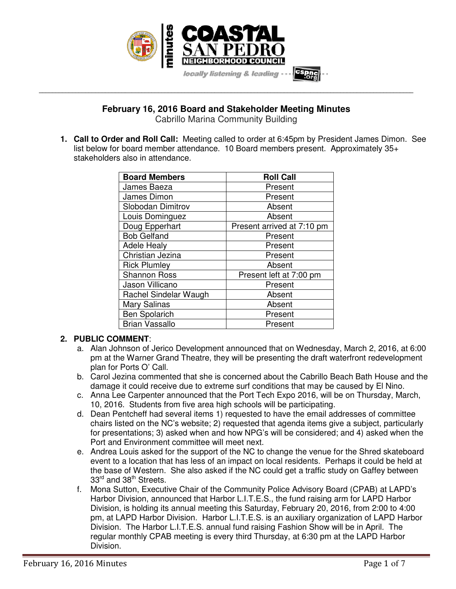

# **February 16, 2016 Board and Stakeholder Meeting Minutes**

**\_\_\_\_\_\_\_\_\_\_\_\_\_\_\_\_\_\_\_\_\_\_\_\_\_\_\_\_\_\_\_\_\_\_\_\_\_\_\_\_\_\_\_\_\_\_\_\_\_\_\_\_\_\_\_\_\_\_\_\_\_\_\_\_\_\_\_\_\_\_\_\_\_\_\_\_\_\_\_\_\_\_\_\_\_\_\_\_\_\_\_\_\_\_\_\_\_\_\_\_\_\_\_\_\_\_\_\_\_\_\_\_\_** 

Cabrillo Marina Community Building

**1. Call to Order and Roll Call:** Meeting called to order at 6:45pm by President James Dimon. See list below for board member attendance. 10 Board members present. Approximately 35+ stakeholders also in attendance.

| <b>Board Members</b>  | <b>Roll Call</b>           |
|-----------------------|----------------------------|
| James Baeza           | Present                    |
| James Dimon           | Present                    |
| Slobodan Dimitrov     | Absent                     |
| Louis Dominguez       | Absent                     |
| Doug Epperhart        | Present arrived at 7:10 pm |
| <b>Bob Gelfand</b>    | Present                    |
| <b>Adele Healy</b>    | Present                    |
| Christian Jezina      | Present                    |
| <b>Rick Plumley</b>   | Absent                     |
| <b>Shannon Ross</b>   | Present left at 7:00 pm    |
| Jason Villicano       | Present                    |
| Rachel Sindelar Waugh | Absent                     |
| Mary Salinas          | Absent                     |
| Ben Spolarich         | Present                    |
| <b>Brian Vassallo</b> | Present                    |

## **2. PUBLIC COMMENT**:

- a. Alan Johnson of Jerico Development announced that on Wednesday, March 2, 2016, at 6:00 pm at the Warner Grand Theatre, they will be presenting the draft waterfront redevelopment plan for Ports O' Call.
- b. Carol Jezina commented that she is concerned about the Cabrillo Beach Bath House and the damage it could receive due to extreme surf conditions that may be caused by El Nino.
- c. Anna Lee Carpenter announced that the Port Tech Expo 2016, will be on Thursday, March, 10, 2016. Students from five area high schools will be participating.
- d. Dean Pentcheff had several items 1) requested to have the email addresses of committee chairs listed on the NC's website; 2) requested that agenda items give a subject, particularly for presentations; 3) asked when and how NPG's will be considered; and 4) asked when the Port and Environment committee will meet next.
- e. Andrea Louis asked for the support of the NC to change the venue for the Shred skateboard event to a location that has less of an impact on local residents. Perhaps it could be held at the base of Western. She also asked if the NC could get a traffic study on Gaffey between 33<sup>rd</sup> and 38<sup>th</sup> Streets.
- f. Mona Sutton, Executive Chair of the Community Police Advisory Board (CPAB) at LAPD's Harbor Division, announced that Harbor L.I.T.E.S., the fund raising arm for LAPD Harbor Division, is holding its annual meeting this Saturday, February 20, 2016, from 2:00 to 4:00 pm, at LAPD Harbor Division. Harbor L.I.T.E.S. is an auxiliary organization of LAPD Harbor Division. The Harbor L.I.T.E.S. annual fund raising Fashion Show will be in April. The regular monthly CPAB meeting is every third Thursday, at 6:30 pm at the LAPD Harbor Division.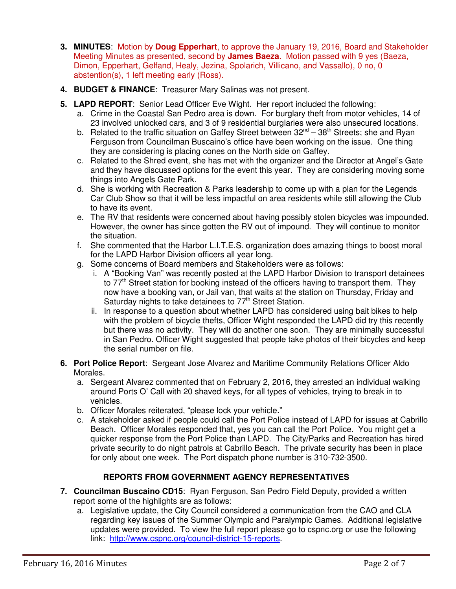- **3. MINUTES**: Motion by **Doug Epperhart**, to approve the January 19, 2016, Board and Stakeholder Meeting Minutes as presented, second by **James Baeza**. Motion passed with 9 yes (Baeza, Dimon, Epperhart, Gelfand, Healy, Jezina, Spolarich, Villicano, and Vassallo), 0 no, 0 abstention(s), 1 left meeting early (Ross).
- **4. BUDGET & FINANCE**: Treasurer Mary Salinas was not present.
- **5. LAPD REPORT**: Senior Lead Officer Eve Wight. Her report included the following:
	- a. Crime in the Coastal San Pedro area is down. For burglary theft from motor vehicles, 14 of 23 involved unlocked cars, and 3 of 9 residential burglaries were also unsecured locations.
	- b. Related to the traffic situation on Gaffey Street between  $32^{nd} 38^{th}$  Streets; she and Ryan Ferguson from Councilman Buscaino's office have been working on the issue. One thing they are considering is placing cones on the North side on Gaffey.
	- c. Related to the Shred event, she has met with the organizer and the Director at Angel's Gate and they have discussed options for the event this year. They are considering moving some things into Angels Gate Park.
	- d. She is working with Recreation & Parks leadership to come up with a plan for the Legends Car Club Show so that it will be less impactful on area residents while still allowing the Club to have its event.
	- e. The RV that residents were concerned about having possibly stolen bicycles was impounded. However, the owner has since gotten the RV out of impound. They will continue to monitor the situation.
	- f. She commented that the Harbor L.I.T.E.S. organization does amazing things to boost moral for the LAPD Harbor Division officers all year long.
	- g. Some concerns of Board members and Stakeholders were as follows:
		- i. A "Booking Van" was recently posted at the LAPD Harbor Division to transport detainees to  $77<sup>th</sup>$  Street station for booking instead of the officers having to transport them. They now have a booking van, or Jail van, that waits at the station on Thursday, Friday and Saturday nights to take detainees to 77<sup>th</sup> Street Station.
		- ii. In response to a question about whether LAPD has considered using bait bikes to help with the problem of bicycle thefts, Officer Wight responded the LAPD did try this recently but there was no activity. They will do another one soon. They are minimally successful in San Pedro. Officer Wight suggested that people take photos of their bicycles and keep the serial number on file.
- **6. Port Police Report**: Sergeant Jose Alvarez and Maritime Community Relations Officer Aldo Morales.
	- a. Sergeant Alvarez commented that on February 2, 2016, they arrested an individual walking around Ports O' Call with 20 shaved keys, for all types of vehicles, trying to break in to vehicles.
	- b. Officer Morales reiterated, "please lock your vehicle."
	- c. A stakeholder asked if people could call the Port Police instead of LAPD for issues at Cabrillo Beach. Officer Morales responded that, yes you can call the Port Police. You might get a quicker response from the Port Police than LAPD. The City/Parks and Recreation has hired private security to do night patrols at Cabrillo Beach. The private security has been in place for only about one week. The Port dispatch phone number is 310-732-3500.

# **REPORTS FROM GOVERNMENT AGENCY REPRESENTATIVES**

- **7. Councilman Buscaino CD15**: Ryan Ferguson, San Pedro Field Deputy, provided a written report some of the highlights are as follows:
	- a. Legislative update, the City Council considered a communication from the CAO and CLA regarding key issues of the Summer Olympic and Paralympic Games. Additional legislative updates were provided. To view the full report please go to cspnc.org or use the following link: http://www.cspnc.org/council-district-15-reports.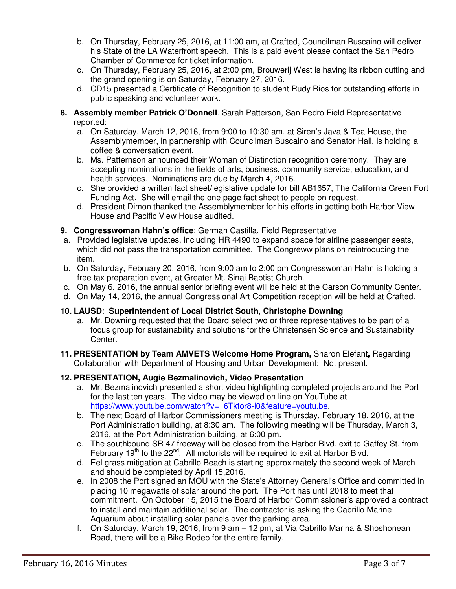- b. On Thursday, February 25, 2016, at 11:00 am, at Crafted, Councilman Buscaino will deliver his State of the LA Waterfront speech. This is a paid event please contact the San Pedro Chamber of Commerce for ticket information.
- c. On Thursday, February 25, 2016, at 2:00 pm, Brouwerij West is having its ribbon cutting and the grand opening is on Saturday, February 27, 2016.
- d. CD15 presented a Certificate of Recognition to student Rudy Rios for outstanding efforts in public speaking and volunteer work.
- **8. Assembly member Patrick O'Donnell**. Sarah Patterson, San Pedro Field Representative reported:
	- a. On Saturday, March 12, 2016, from 9:00 to 10:30 am, at Siren's Java & Tea House, the Assemblymember, in partnership with Councilman Buscaino and Senator Hall, is holding a coffee & conversation event.
	- b. Ms. Patternson announced their Woman of Distinction recognition ceremony. They are accepting nominations in the fields of arts, business, community service, education, and health services. Nominations are due by March 4, 2016.
	- c. She provided a written fact sheet/legislative update for bill AB1657, The California Green Fort Funding Act. She will email the one page fact sheet to people on request.
	- d. President Dimon thanked the Assemblymember for his efforts in getting both Harbor View House and Pacific View House audited.
- **9. Congresswoman Hahn's office**: German Castilla, Field Representative
- a. Provided legislative updates, including HR 4490 to expand space for airline passenger seats, which did not pass the transportation committee. The Congreww plans on reintroducing the item.
- b. On Saturday, February 20, 2016, from 9:00 am to 2:00 pm Congresswoman Hahn is holding a free tax preparation event, at Greater Mt. Sinai Baptist Church.
- c. On May 6, 2016, the annual senior briefing event will be held at the Carson Community Center.
- d. On May 14, 2016, the annual Congressional Art Competition reception will be held at Crafted.

## **10. LAUSD**: **Superintendent of Local District South, Christophe Downing**

- a. Mr. Downing requested that the Board select two or three representatives to be part of a focus group for sustainability and solutions for the Christensen Science and Sustainability Center.
- **11. PRESENTATION by Team AMVETS Welcome Home Program,** Sharon Elefant**,** Regarding Collaboration with Department of Housing and Urban Development: Not present.

#### **12. PRESENTATION, Augie Bezmalinovich, Video Presentation**

- a. Mr. Bezmalinovich presented a short video highlighting completed projects around the Port for the last ten years. The video may be viewed on line on YouTube at https://www.youtube.com/watch?v=\_6Tktor8-i0&feature=youtu.be.
- b. The next Board of Harbor Commissioners meeting is Thursday, February 18, 2016, at the Port Administration building, at 8:30 am. The following meeting will be Thursday, March 3, 2016, at the Port Administration building, at 6:00 pm.
- c. The southbound SR 47 freeway will be closed from the Harbor Blvd. exit to Gaffey St. from February  $19<sup>th</sup>$  to the  $22<sup>nd</sup>$ . All motorists will be required to exit at Harbor Blvd.
- d. Eel grass mitigation at Cabrillo Beach is starting approximately the second week of March and should be completed by April 15,2016.
- e. In 2008 the Port signed an MOU with the State's Attorney General's Office and committed in placing 10 megawatts of solar around the port. The Port has until 2018 to meet that commitment. On October 15, 2015 the Board of Harbor Commissioner's approved a contract to install and maintain additional solar. The contractor is asking the Cabrillo Marine Aquarium about installing solar panels over the parking area. –
- f. On Saturday, March 19, 2016, from 9 am 12 pm, at Via Cabrillo Marina & Shoshonean Road, there will be a Bike Rodeo for the entire family.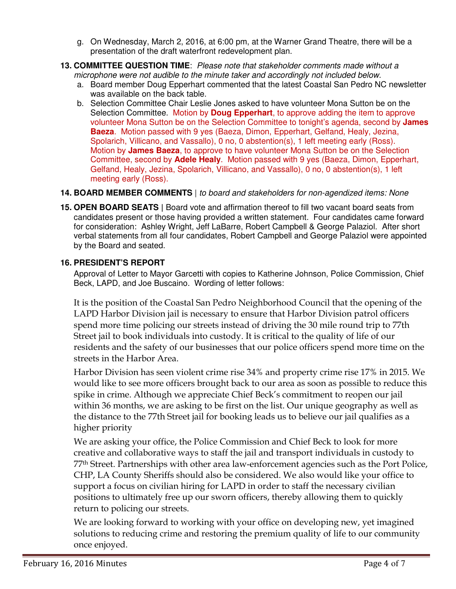- g. On Wednesday, March 2, 2016, at 6:00 pm, at the Warner Grand Theatre, there will be a presentation of the draft waterfront redevelopment plan.
- **13. COMMITTEE QUESTION TIME**:*Please note that stakeholder comments made without a microphone were not audible to the minute taker and accordingly not included below.* 
	- a. Board member Doug Epperhart commented that the latest Coastal San Pedro NC newsletter was available on the back table.
	- b. Selection Committee Chair Leslie Jones asked to have volunteer Mona Sutton be on the Selection Committee. Motion by **Doug Epperhart**, to approve adding the item to approve volunteer Mona Sutton be on the Selection Committee to tonight's agenda, second by **James Baeza**. Motion passed with 9 yes (Baeza, Dimon, Epperhart, Gelfand, Healy, Jezina, Spolarich, Villicano, and Vassallo), 0 no, 0 abstention(s), 1 left meeting early (Ross). Motion by **James Baeza**, to approve to have volunteer Mona Sutton be on the Selection Committee, second by **Adele Healy**. Motion passed with 9 yes (Baeza, Dimon, Epperhart, Gelfand, Healy, Jezina, Spolarich, Villicano, and Vassallo), 0 no, 0 abstention(s), 1 left meeting early (Ross).

# **14. BOARD MEMBER COMMENTS** | *to board and stakeholders for non-agendized items: None*

**15. OPEN BOARD SEATS |** Board vote and affirmation thereof to fill two vacant board seats from candidates present or those having provided a written statement. Four candidates came forward for consideration: Ashley Wright, Jeff LaBarre, Robert Campbell & George Palaziol. After short verbal statements from all four candidates, Robert Campbell and George Palaziol were appointed by the Board and seated.

## **16. PRESIDENT'S REPORT**

Approval of Letter to Mayor Garcetti with copies to Katherine Johnson, Police Commission, Chief Beck, LAPD, and Joe Buscaino. Wording of letter follows:

It is the position of the Coastal San Pedro Neighborhood Council that the opening of the LAPD Harbor Division jail is necessary to ensure that Harbor Division patrol officers spend more time policing our streets instead of driving the 30 mile round trip to 77th Street jail to book individuals into custody. It is critical to the quality of life of our residents and the safety of our businesses that our police officers spend more time on the streets in the Harbor Area.

Harbor Division has seen violent crime rise 34% and property crime rise 17% in 2015. We would like to see more officers brought back to our area as soon as possible to reduce this spike in crime. Although we appreciate Chief Beck's commitment to reopen our jail within 36 months, we are asking to be first on the list. Our unique geography as well as the distance to the 77th Street jail for booking leads us to believe our jail qualifies as a higher priority

We are asking your office, the Police Commission and Chief Beck to look for more creative and collaborative ways to staff the jail and transport individuals in custody to 77th Street. Partnerships with other area law-enforcement agencies such as the Port Police, CHP, LA County Sheriffs should also be considered. We also would like your office to support a focus on civilian hiring for LAPD in order to staff the necessary civilian positions to ultimately free up our sworn officers, thereby allowing them to quickly return to policing our streets.

We are looking forward to working with your office on developing new, yet imagined solutions to reducing crime and restoring the premium quality of life to our community once enjoyed.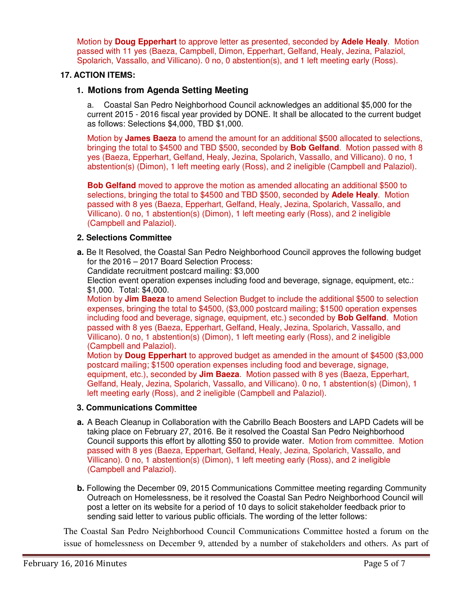Motion by **Doug Epperhart** to approve letter as presented, seconded by **Adele Healy**. Motion passed with 11 yes (Baeza, Campbell, Dimon, Epperhart, Gelfand, Healy, Jezina, Palaziol, Spolarich, Vassallo, and Villicano). 0 no, 0 abstention(s), and 1 left meeting early (Ross).

#### **17. ACTION ITEMS:**

#### **1. Motions from Agenda Setting Meeting**

a. Coastal San Pedro Neighborhood Council acknowledges an additional \$5,000 for the current 2015 - 2016 fiscal year provided by DONE. It shall be allocated to the current budget as follows: Selections \$4,000, TBD \$1,000.

Motion by **James Baeza** to amend the amount for an additional \$500 allocated to selections, bringing the total to \$4500 and TBD \$500, seconded by **Bob Gelfand**. Motion passed with 8 yes (Baeza, Epperhart, Gelfand, Healy, Jezina, Spolarich, Vassallo, and Villicano). 0 no, 1 abstention(s) (Dimon), 1 left meeting early (Ross), and 2 ineligible (Campbell and Palaziol).

**Bob Gelfand** moved to approve the motion as amended allocating an additional \$500 to selections, bringing the total to \$4500 and TBD \$500, seconded by **Adele Healy**. Motion passed with 8 yes (Baeza, Epperhart, Gelfand, Healy, Jezina, Spolarich, Vassallo, and Villicano). 0 no, 1 abstention(s) (Dimon), 1 left meeting early (Ross), and 2 ineligible (Campbell and Palaziol).

#### **2. Selections Committee**

**a.** Be It Resolved, the Coastal San Pedro Neighborhood Council approves the following budget for the 2016 – 2017 Board Selection Process:

Candidate recruitment postcard mailing: \$3,000

Election event operation expenses including food and beverage, signage, equipment, etc.: \$1,000. Total: \$4,000.

Motion by **Jim Baeza** to amend Selection Budget to include the additional \$500 to selection expenses, bringing the total to \$4500, (\$3,000 postcard mailing; \$1500 operation expenses including food and beverage, signage, equipment, etc.) seconded by **Bob Gelfand**. Motion passed with 8 yes (Baeza, Epperhart, Gelfand, Healy, Jezina, Spolarich, Vassallo, and Villicano). 0 no, 1 abstention(s) (Dimon), 1 left meeting early (Ross), and 2 ineligible (Campbell and Palaziol).

Motion by **Doug Epperhart** to approved budget as amended in the amount of \$4500 (\$3,000 postcard mailing; \$1500 operation expenses including food and beverage, signage, equipment, etc.), seconded by **Jim Baeza**. Motion passed with 8 yes (Baeza, Epperhart, Gelfand, Healy, Jezina, Spolarich, Vassallo, and Villicano). 0 no, 1 abstention(s) (Dimon), 1 left meeting early (Ross), and 2 ineligible (Campbell and Palaziol).

#### **3. Communications Committee**

- **a.** A Beach Cleanup in Collaboration with the Cabrillo Beach Boosters and LAPD Cadets will be taking place on February 27, 2016. Be it resolved the Coastal San Pedro Neighborhood Council supports this effort by allotting \$50 to provide water. Motion from committee. Motion passed with 8 yes (Baeza, Epperhart, Gelfand, Healy, Jezina, Spolarich, Vassallo, and Villicano). 0 no, 1 abstention(s) (Dimon), 1 left meeting early (Ross), and 2 ineligible (Campbell and Palaziol).
- **b.** Following the December 09, 2015 Communications Committee meeting regarding Community Outreach on Homelessness, be it resolved the Coastal San Pedro Neighborhood Council will post a letter on its website for a period of 10 days to solicit stakeholder feedback prior to sending said letter to various public officials. The wording of the letter follows:

The Coastal San Pedro Neighborhood Council Communications Committee hosted a forum on the issue of homelessness on December 9, attended by a number of stakeholders and others. As part of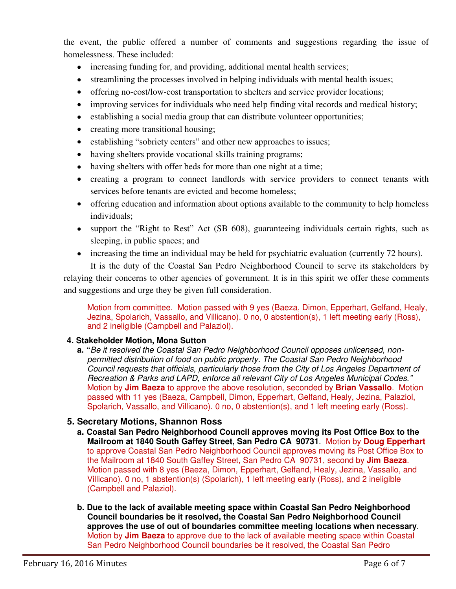the event, the public offered a number of comments and suggestions regarding the issue of homelessness. These included:

- increasing funding for, and providing, additional mental health services;
- streamlining the processes involved in helping individuals with mental health issues;
- offering no-cost/low-cost transportation to shelters and service provider locations;
- improving services for individuals who need help finding vital records and medical history;
- establishing a social media group that can distribute volunteer opportunities;
- creating more transitional housing;
- establishing "sobriety centers" and other new approaches to issues;
- having shelters provide vocational skills training programs;
- having shelters with offer beds for more than one night at a time;
- creating a program to connect landlords with service providers to connect tenants with services before tenants are evicted and become homeless:
- offering education and information about options available to the community to help homeless individuals;
- support the "Right to Rest" Act (SB 608), guaranteeing individuals certain rights, such as sleeping, in public spaces; and
- increasing the time an individual may be held for psychiatric evaluation (currently 72 hours).

It is the duty of the Coastal San Pedro Neighborhood Council to serve its stakeholders by relaying their concerns to other agencies of government. It is in this spirit we offer these comments and suggestions and urge they be given full consideration.

Motion from committee. Motion passed with 9 yes (Baeza, Dimon, Epperhart, Gelfand, Healy, Jezina, Spolarich, Vassallo, and Villicano). 0 no, 0 abstention(s), 1 left meeting early (Ross), and 2 ineligible (Campbell and Palaziol).

## **4. Stakeholder Motion, Mona Sutton**

**a. "***Be it resolved the Coastal San Pedro Neighborhood Council opposes unlicensed, nonpermitted distribution of food on public property. The Coastal San Pedro Neighborhood Council requests that officials, particularly those from the City of Los Angeles Department of Recreation & Parks and LAPD, enforce all relevant City of Los Angeles Municipal Codes."* Motion by **Jim Baeza** to approve the above resolution, seconded by **Brian Vassallo**. Motion passed with 11 yes (Baeza, Campbell, Dimon, Epperhart, Gelfand, Healy, Jezina, Palaziol, Spolarich, Vassallo, and Villicano). 0 no, 0 abstention(s), and 1 left meeting early (Ross).

## **5. Secretary Motions, Shannon Ross**

- **a. Coastal San Pedro Neighborhood Council approves moving its Post Office Box to the Mailroom at 1840 South Gaffey Street, San Pedro CA 90731**. Motion by **Doug Epperhart**  to approve Coastal San Pedro Neighborhood Council approves moving its Post Office Box to the Mailroom at 1840 South Gaffey Street, San Pedro CA 90731, second by **Jim Baeza**. Motion passed with 8 yes (Baeza, Dimon, Epperhart, Gelfand, Healy, Jezina, Vassallo, and Villicano). 0 no, 1 abstention(s) (Spolarich), 1 left meeting early (Ross), and 2 ineligible (Campbell and Palaziol).
- **b. Due to the lack of available meeting space within Coastal San Pedro Neighborhood Council boundaries be it resolved, the Coastal San Pedro Neighborhood Council approves the use of out of boundaries committee meeting locations when necessary**. Motion by **Jim Baeza** to approve due to the lack of available meeting space within Coastal San Pedro Neighborhood Council boundaries be it resolved, the Coastal San Pedro